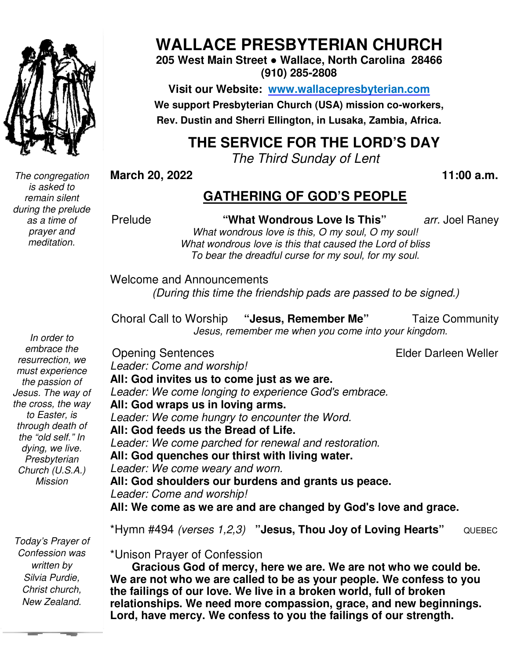

*The congregation is asked to remain silent during the prelude as a time of prayer and meditation.* 

*In order to embrace the resurrection, we must experience the passion of Jesus. The way of the cross, the way to Easter, is through death of the "old self." In dying, we live. Presbyterian Church (U.S.A.) Mission* 

 *Silvia Purdie, Today's Prayer of Confession was written by Christ church, New Zealand.* 

# **WALLACE PRESBYTERIAN CHURCH**

**205 West Main Street ● Wallace, North Carolina 28466 (910) 285-2808** 

**Visit our Website: www.wallacepresbyterian.com** We support Presbyterian Church (USA) mission co-workers, **Rev. Dustin and Sherri Ellington, in Lusaka, Zambia, Africa. Sherri Ellington,** 

# **THE SERVICE FOR THE LORD'S DAY**

*The Third Third Sunday of Lent* 

**March 20, 2022** 

#### **11:00 a.m.**

## **GATHERING OF GOD'S PEOPLE**

**This"** *arr.* Joel Rane

Prelude **"What Wondrous Love Is This** *What wondrous love is this, O my soul, O my soul!* What wondrous love is this that caused the Lord of bliss *To bear the dreadful curse for my soul, for my soul soul.* 

Welcome and Announcements and Announcements*(During this time the friendship pads are passed to be signed.) pads are* 

Choral Call to Worship *Jesus, remember me when you come into your kingdom.* Choral **"Jesus, Remember Me"** Taize Community

Opening Sentences

Elder Darleen Weller Darleen

Leader: Come and worship! All: God invites us to come just as we are.

Leader: We come longing to experience God's embrace.

**All: God wraps us in loving arms. us in** 

Leader: We come hungry to encounter the Word. All: God feeds us the Bread of Life. *Leader: We come parched for renewal and restoration.*  **All: God quenches our thirst with living water.**  *Leader: We come weary and worn.*  : We come parched<br>›**d quenches our th**i<br>: We come weary ar

**All: God shoulders our burdens and grants grants us peace.**  Leader: Come and worship!

All: We come as we are and are changed by God's love and grace.

\*Hymn #494 *(verses 1,2,3) 1,2,3)* **"Jesus, Thou Joy of Loving Hearts"** QUEBEC

\*Unison Prayer of Confession

 **Gracious God of mercy, here we are. We are not who we could be. We are not who we are called to be as your people. We confess to you the failings of our love. We live in a broken world, full of broken**  We are not who we are called to be as your people. We confess to you<br>the failings of our love. We live in a broken world, full of broken<br>relationships. We need more compassion, grace, and new beginnings. **Lord, have mercy. We confess to you the failings of our strength.**  What Wondrous Love Is This"<br>
"What wondrous love is this, O my soul, O my soul,<br>
What wondrous love is this to ansed the Lord of bliss<br>
To bear the dreadful curse for my soul, for my soul.<br>
Come and Announcements<br>
(During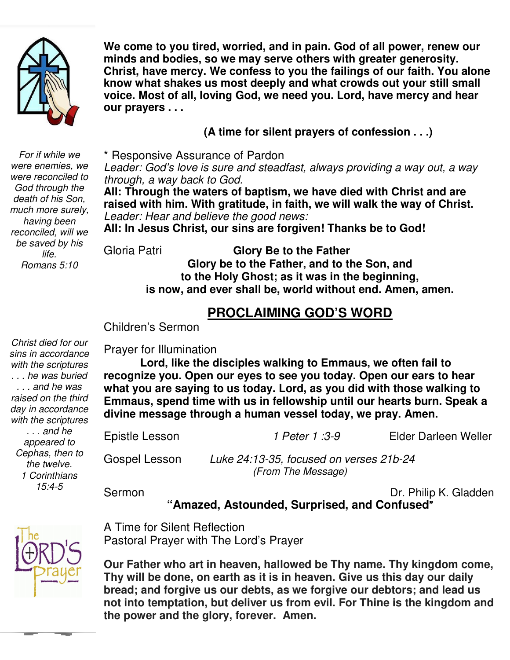

**We come to you tired, worried, and in pain. God of all power, renew our minds and bodies, so we may serve others with greater generosity. Christ, have mercy. We confess to you the failings of our faith. You alone know what shakes us most deeply and what crowds out your still small voice. Most of all, loving God, we need you. Lord, have mercy and hear our prayers . . .** 

**(A time for silent prayers of confession . . .)**

\* Responsive Assurance of Pardon

 *through, a way back to God. Leader: God's love is sure and steadfast, always providing a way out, a way* 

 *Leader: Hear and believe the good news:*  **All: Through the waters of baptism, we have died with Christ and are raised with him. With gratitude, in faith, we will walk the way of Christ.**

**All: In Jesus Christ, our sins are forgiven! Thanks be to God!**

Gloria Patri **Glory Be to the Father Glory be to the Father, and to the Son, and to the Holy Ghost; as it was in the beginning, is now, and ever shall be, world without end. Amen, amen.** 

## **PROCLAIMING GOD'S WORD**

Children's Sermon

*Christ died for our sins in accordance with the scriptures . . . he was buried . . . and he was raised on the third day in accordance with the scriptures . . . and he appeared to Cephas, then to the twelve. 1 Corinthians 15:4-5* 

Prayer for Illumination

**Lord, like the disciples walking to Emmaus, we often fail to recognize you. Open our eyes to see you today. Open our ears to hear what you are saying to us today. Lord, as you did with those walking to Emmaus, spend time with us in fellowship until our hearts burn. Speak a divine message through a human vessel today, we pray. Amen.**

Epistle Lesson *1 Peter 1 :3-9* Elder Darleen Weller

Gospel Lesson *Luke 24:13-35, focused on verses 21b-24 (From The Message)* 

Sermon Dr. Philip K. Gladden

**"Amazed, Astounded, Surprised, and Confused**"

A Time for Silent Reflection Pastoral Prayer with The Lord's Prayer

**Our Father who art in heaven, hallowed be Thy name. Thy kingdom come, Thy will be done, on earth as it is in heaven. Give us this day our daily bread; and forgive us our debts, as we forgive our debtors; and lead us not into temptation, but deliver us from evil. For Thine is the kingdom and the power and the glory, forever. Amen.**

 *God through the were enemies, we For if while we were reconciled to death of his Son, much more surely, having been reconciled, will we be saved by his life. Romans 5:10*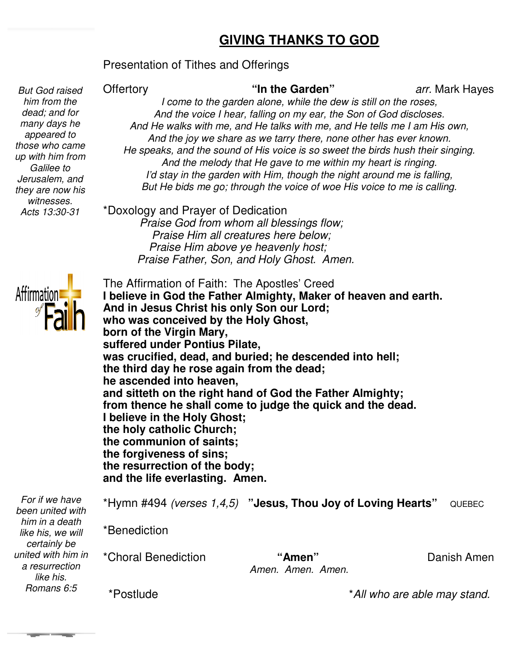### **GIVING THANKS TO GOD**

#### Presentation of Tithes and Offerings

 *him from the But God raised dead; and for many days he appeared to those who came up with him from Galilee to Jerusalem, and they are now his witnesses. Acts 13:30-31* 

**Offertory** 

Hayes

*I come to the garden alone, while the dew is still on the roses,*  **"In the Garden"** *arr.* Mark Haye *And the voice I hear, falling on my ear, the Son of God discloses. And He walks with me, and He talks with me, and He tells me I am His own, And the joy we share as we tarry there, none other has ever known.* He speaks, and the sound of His voice is so sweet the birds hush their singing. *And the melody that He gave to me within my heart is ri I'd stay in the garden with Him, though the night around me is falling, But He bids me go; through the voice of woe His voice to me is calling. the to the garden alone, while the dew is still on the roses,*<br>*the voice I hear, falling on my ear, the Son of God discloses*<br>alks with me, and He talks with me, and He tells me I am Hi<br>re joy we share as we tarry there, 

\*Doxology and Prayer of Dedication *Praise God from whom all blessings flow; Praise Him all creatures here below; Praise Him above ye heavenly host; Praise God from whom all blessings flow;<br>Praise Him all creatures here below;<br>Praise Him above ye heavenly host;<br>Praise Father, Son, and Holy Ghost. Amen.* 



| The Affirmation of Faith: The Apostles' Creed                    |
|------------------------------------------------------------------|
| I believe in God the Father Almighty, Maker of heaven and earth. |
| And in Jesus Christ his only Son our Lord;                       |
| who was conceived by the Holy Ghost,                             |
| born of the Virgin Mary,                                         |
| suffered under Pontius Pilate,                                   |
| was crucified, dead, and buried; he descended into hell;         |
| the third day he rose again from the dead;                       |
| he ascended into heaven,                                         |
| and sitteth on the right hand of God the Father Almighty;        |
| from thence he shall come to judge the quick and the dead.       |
| I believe in the Holy Ghost;                                     |
| the holy catholic Church;                                        |
| the communion of saints;                                         |
| the forgiveness of sins;                                         |
| the resurrection of the body;                                    |
| and the life everlasting. Amen.                                  |
|                                                                  |

| For if we have<br>been united with<br>him in a death<br>like his, we will<br>certainly be<br>united with him in<br>a resurrection<br>like his.<br>Romans 6:5 | *Hymn #494 (verses $1,4,5$ ) "Jesus, Thou Joy of Loving Hearts" |                             |                              | QUEBEC      |
|--------------------------------------------------------------------------------------------------------------------------------------------------------------|-----------------------------------------------------------------|-----------------------------|------------------------------|-------------|
|                                                                                                                                                              | *Benediction                                                    |                             |                              |             |
|                                                                                                                                                              | *Choral Benediction                                             | "Amen"<br>Amen. Amen. Amen. |                              | Danish Amen |
|                                                                                                                                                              | *Postlude                                                       |                             | *All who are able may stand. |             |